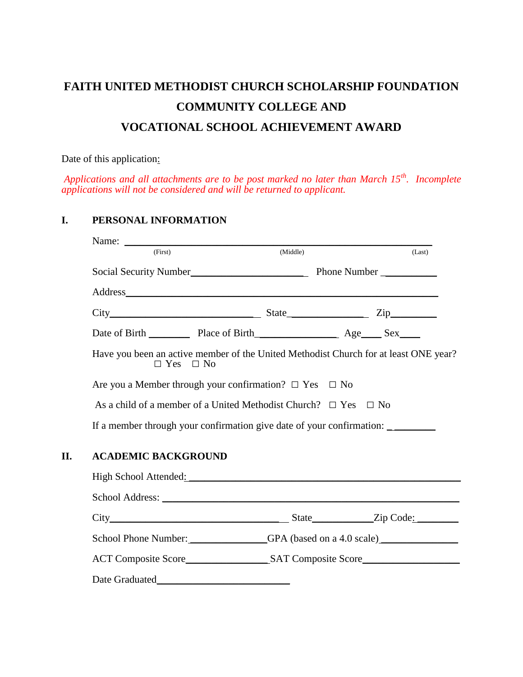# **FAITH UNITED METHODIST CHURCH SCHOLARSHIP FOUNDATION COMMUNITY COLLEGE AND VOCATIONAL SCHOOL ACHIEVEMENT AWARD**

Date of this application:

*Applications and all attachments are to be post marked no later than March 15th. Incomplete applications will not be considered and will be returned to applicant.*

## **I. PERSONAL INFORMATION**

| (First)                                                  | Name: $\frac{1}{\sqrt{1-\frac{1}{2}} \cdot \frac{1}{2}}$                                                        | (Middle) |  | (Last) |
|----------------------------------------------------------|-----------------------------------------------------------------------------------------------------------------|----------|--|--------|
| Social Security Number<br><u>Department</u> Phone Number |                                                                                                                 |          |  |        |
|                                                          |                                                                                                                 |          |  |        |
|                                                          | $City$ $City$ $Step$ $Zip$                                                                                      |          |  |        |
|                                                          | Date of Birth Place of Birth Age Sex                                                                            |          |  |        |
|                                                          | Have you been an active member of the United Methodist Church for at least ONE year?<br>$\Box$ Yes $\Box$ No    |          |  |        |
|                                                          | Are you a Member through your confirmation? $\Box$ Yes $\Box$ No                                                |          |  |        |
|                                                          | As a child of a member of a United Methodist Church? $\Box$ Yes $\Box$ No                                       |          |  |        |
|                                                          | If a member through your confirmation give date of your confirmation:                                           |          |  |        |
| <b>ACADEMIC BACKGROUND</b>                               |                                                                                                                 |          |  |        |
|                                                          | High School Attended: Manual Manual Manual Manual Manual Manual Manual Manual Manual Manual Manual Manual Manua |          |  |        |
|                                                          | School Address: New York Changes and School Address:                                                            |          |  |        |
|                                                          |                                                                                                                 |          |  |        |
|                                                          | School Phone Number: GPA (based on a 4.0 scale)                                                                 |          |  |        |
|                                                          |                                                                                                                 |          |  |        |
| Date Graduated                                           |                                                                                                                 |          |  |        |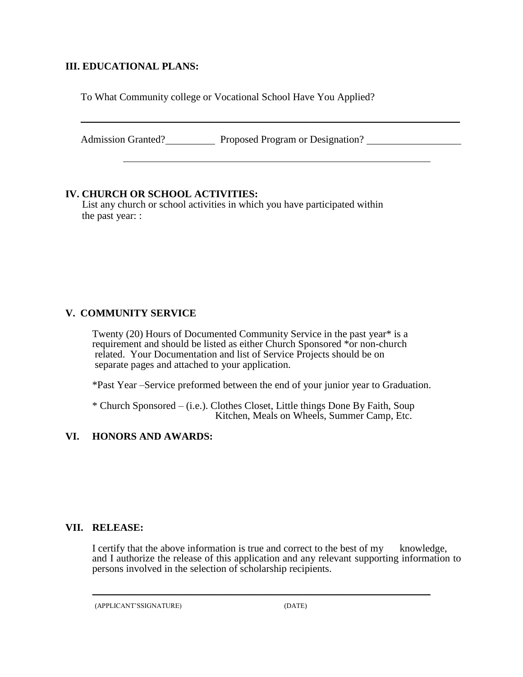## **III. EDUCATIONAL PLANS:**

To What Community college or Vocational School Have You Applied?

Admission Granted? Proposed Program or Designation?

 $\_$  , and the set of the set of the set of the set of the set of the set of the set of the set of the set of the set of the set of the set of the set of the set of the set of the set of the set of the set of the set of th

## **IV. CHURCH OR SCHOOL ACTIVITIES:**

 List any church or school activities in which you have participated within the past year: :

# **V. COMMUNITY SERVICE**

Twenty (20) Hours of Documented Community Service in the past year\* is a requirement and should be listed as either Church Sponsored \*or non-church related. Your Documentation and list of Service Projects should be on separate pages and attached to your application.

\*Past Year –Service preformed between the end of your junior year to Graduation.

\* Church Sponsored – (i.e.). Clothes Closet, Little things Done By Faith, Soup Kitchen, Meals on Wheels, Summer Camp, Etc.

# **VI. HONORS AND AWARDS:**

#### **VII. RELEASE:**

I certify that the above information is true and correct to the best of my knowledge, and I authorize the release of this application and any relevant supporting information to persons involved in the selection of scholarship recipients.

\_\_\_\_\_\_\_\_\_\_\_\_\_\_\_\_\_\_\_\_\_\_\_\_\_\_\_\_\_\_\_\_\_\_\_\_\_\_\_\_\_\_\_\_\_\_\_\_\_\_\_\_\_\_\_\_\_\_\_\_\_\_\_\_\_\_

(APPLICANT'SSIGNATURE)(DATE)